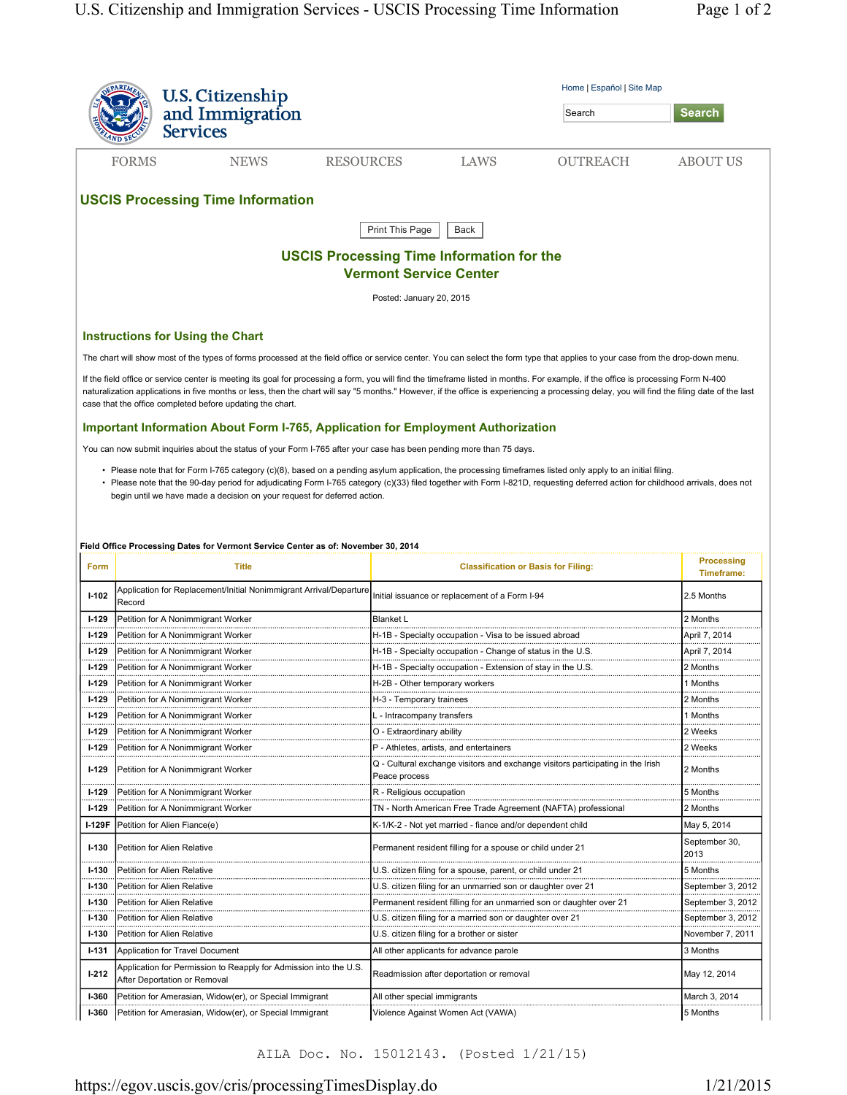|                                                                                   |                                                                                                                      | Home   Español   Site Map                                                                                                                                                                                                                                                                                                                     |                       |  |  |  |
|-----------------------------------------------------------------------------------|----------------------------------------------------------------------------------------------------------------------|-----------------------------------------------------------------------------------------------------------------------------------------------------------------------------------------------------------------------------------------------------------------------------------------------------------------------------------------------|-----------------------|--|--|--|
|                                                                                   | U.S. Citizenship<br>and Immigration                                                                                  | Search                                                                                                                                                                                                                                                                                                                                        | <b>Search</b>         |  |  |  |
|                                                                                   | <b>Services</b>                                                                                                      |                                                                                                                                                                                                                                                                                                                                               |                       |  |  |  |
|                                                                                   | <b>FORMS</b><br><b>NEWS</b>                                                                                          | <b>RESOURCES</b><br>LAWS<br><b>OUTREACH</b>                                                                                                                                                                                                                                                                                                   | <b>ABOUT US</b>       |  |  |  |
|                                                                                   |                                                                                                                      |                                                                                                                                                                                                                                                                                                                                               |                       |  |  |  |
|                                                                                   | <b>USCIS Processing Time Information</b>                                                                             |                                                                                                                                                                                                                                                                                                                                               |                       |  |  |  |
|                                                                                   |                                                                                                                      | Print This Page<br>Back                                                                                                                                                                                                                                                                                                                       |                       |  |  |  |
|                                                                                   |                                                                                                                      |                                                                                                                                                                                                                                                                                                                                               |                       |  |  |  |
| <b>USCIS Processing Time Information for the</b><br><b>Vermont Service Center</b> |                                                                                                                      |                                                                                                                                                                                                                                                                                                                                               |                       |  |  |  |
|                                                                                   |                                                                                                                      | Posted: January 20, 2015                                                                                                                                                                                                                                                                                                                      |                       |  |  |  |
|                                                                                   | <b>Instructions for Using the Chart</b>                                                                              |                                                                                                                                                                                                                                                                                                                                               |                       |  |  |  |
|                                                                                   |                                                                                                                      | The chart will show most of the types of forms processed at the field office or service center. You can select the form type that applies to your case from the drop-down menu.                                                                                                                                                               |                       |  |  |  |
|                                                                                   |                                                                                                                      | If the field office or service center is meeting its goal for processing a form, you will find the timeframe listed in months. For example, if the office is processing Form N-400                                                                                                                                                            |                       |  |  |  |
|                                                                                   |                                                                                                                      | naturalization applications in five months or less, then the chart will say "5 months." However, if the office is experiencing a processing delay, you will find the filing date of the last                                                                                                                                                  |                       |  |  |  |
|                                                                                   | case that the office completed before updating the chart.                                                            |                                                                                                                                                                                                                                                                                                                                               |                       |  |  |  |
|                                                                                   | <b>Important Information About Form I-765, Application for Employment Authorization</b>                              |                                                                                                                                                                                                                                                                                                                                               |                       |  |  |  |
|                                                                                   | You can now submit inquiries about the status of your Form I-765 after your case has been pending more than 75 days. |                                                                                                                                                                                                                                                                                                                                               |                       |  |  |  |
|                                                                                   |                                                                                                                      |                                                                                                                                                                                                                                                                                                                                               |                       |  |  |  |
|                                                                                   |                                                                                                                      | • Please note that for Form I-765 category (c)(8), based on a pending asylum application, the processing timeframes listed only apply to an initial filing.<br>• Please note that the 90-day period for adjudicating Form I-765 category (c)(33) filed together with Form I-821D, requesting deferred action for childhood arrivals, does not |                       |  |  |  |
|                                                                                   | begin until we have made a decision on your request for deferred action.                                             |                                                                                                                                                                                                                                                                                                                                               |                       |  |  |  |
|                                                                                   |                                                                                                                      |                                                                                                                                                                                                                                                                                                                                               |                       |  |  |  |
|                                                                                   |                                                                                                                      |                                                                                                                                                                                                                                                                                                                                               |                       |  |  |  |
|                                                                                   | Field Office Processing Dates for Vermont Service Center as of: November 30, 2014                                    |                                                                                                                                                                                                                                                                                                                                               |                       |  |  |  |
| <b>Form</b>                                                                       | Title                                                                                                                | <b>Classification or Basis for Filing:</b>                                                                                                                                                                                                                                                                                                    | <b>Processing</b>     |  |  |  |
|                                                                                   |                                                                                                                      |                                                                                                                                                                                                                                                                                                                                               | Timeframe:            |  |  |  |
|                                                                                   |                                                                                                                      |                                                                                                                                                                                                                                                                                                                                               |                       |  |  |  |
| $1-102$                                                                           | Application for Replacement/Initial Nonimmigrant Arrival/Departure<br>Record                                         | Initial issuance or replacement of a Form I-94                                                                                                                                                                                                                                                                                                | 2.5 Months            |  |  |  |
| $1-129$                                                                           | Petition for A Nonimmigrant Worker                                                                                   | <b>Blanket L</b>                                                                                                                                                                                                                                                                                                                              | 2 Months              |  |  |  |
| $1-129$                                                                           | Petition for A Nonimmigrant Worker                                                                                   | H-1B - Specialty occupation - Visa to be issued abroad                                                                                                                                                                                                                                                                                        | April 7, 2014         |  |  |  |
| $1-129$                                                                           | Petition for A Nonimmigrant Worker                                                                                   | H-1B - Specialty occupation - Change of status in the U.S.                                                                                                                                                                                                                                                                                    | April 7, 2014         |  |  |  |
| $1-129$                                                                           | Petition for A Nonimmigrant Worker                                                                                   | H-1B - Specialty occupation - Extension of stay in the U.S.                                                                                                                                                                                                                                                                                   | 2 Months              |  |  |  |
| <b>I-129</b>                                                                      | Petition for A Nonimmigrant Worker                                                                                   | H-2B - Other temporary workers                                                                                                                                                                                                                                                                                                                | 1 Months              |  |  |  |
| <b>I-129</b>                                                                      | Petition for A Nonimmigrant Worker                                                                                   |                                                                                                                                                                                                                                                                                                                                               | 2 Months              |  |  |  |
|                                                                                   |                                                                                                                      | H-3 - Temporary trainees<br>                                                                                                                                                                                                                                                                                                                  |                       |  |  |  |
| $1-129$                                                                           | Petition for A Nonimmigrant Worker                                                                                   | L - Intracompany transfers                                                                                                                                                                                                                                                                                                                    | 1 Months<br>2 Weeks   |  |  |  |
| $1-129$                                                                           | Petition for A Nonimmigrant Worker                                                                                   | O - Extraordinary ability                                                                                                                                                                                                                                                                                                                     |                       |  |  |  |
| $1-129$                                                                           | Petition for A Nonimmigrant Worker                                                                                   | P - Athletes, artists, and entertainers                                                                                                                                                                                                                                                                                                       | 2 Weeks               |  |  |  |
| $1-129$                                                                           | Petition for A Nonimmigrant Worker                                                                                   | Q - Cultural exchange visitors and exchange visitors participating in the Irish<br>Peace process                                                                                                                                                                                                                                              | 2 Months              |  |  |  |
| $1-129$                                                                           | Petition for A Nonimmigrant Worker                                                                                   | R - Religious occupation                                                                                                                                                                                                                                                                                                                      | 5 Months              |  |  |  |
| $1-129$                                                                           | Petition for A Nonimmigrant Worker                                                                                   | TN - North American Free Trade Agreement (NAFTA) professional                                                                                                                                                                                                                                                                                 | 2 Months              |  |  |  |
| I-129F                                                                            | Petition for Alien Fiance(e)                                                                                         | K-1/K-2 - Not yet married - fiance and/or dependent child                                                                                                                                                                                                                                                                                     | May 5, 2014           |  |  |  |
| $1 - 130$                                                                         | Petition for Alien Relative                                                                                          | Permanent resident filling for a spouse or child under 21                                                                                                                                                                                                                                                                                     | September 30,<br>2013 |  |  |  |
| $I-130$                                                                           | <b>Petition for Alien Relative</b>                                                                                   | U.S. citizen filing for a spouse, parent, or child under 21                                                                                                                                                                                                                                                                                   | 5 Months              |  |  |  |
| <b>I-130</b>                                                                      | Petition for Alien Relative                                                                                          | U.S. citizen filing for an unmarried son or daughter over 21                                                                                                                                                                                                                                                                                  | September 3, 2012     |  |  |  |
| $1-130$                                                                           | Petition for Alien Relative                                                                                          | Permanent resident filling for an unmarried son or daughter over 21                                                                                                                                                                                                                                                                           | September 3, 2012     |  |  |  |
| $1-130$                                                                           | Petition for Alien Relative                                                                                          | U.S. citizen filing for a married son or daughter over 21                                                                                                                                                                                                                                                                                     | September 3, 2012     |  |  |  |
| $1-130$                                                                           | Petition for Alien Relative                                                                                          | U.S. citizen filing for a brother or sister                                                                                                                                                                                                                                                                                                   | November 7, 2011      |  |  |  |
| $1 - 131$                                                                         | Application for Travel Document                                                                                      | All other applicants for advance parole                                                                                                                                                                                                                                                                                                       | 3 Months              |  |  |  |
| $1 - 212$                                                                         | Application for Permission to Reapply for Admission into the U.S.<br>After Deportation or Removal                    | Readmission after deportation or removal                                                                                                                                                                                                                                                                                                      | May 12, 2014          |  |  |  |
| <b>I-360</b>                                                                      | Petition for Amerasian, Widow(er), or Special Immigrant                                                              | All other special immigrants                                                                                                                                                                                                                                                                                                                  | March 3, 2014         |  |  |  |

AILA Doc. No. 15012143. (Posted 1/21/15)